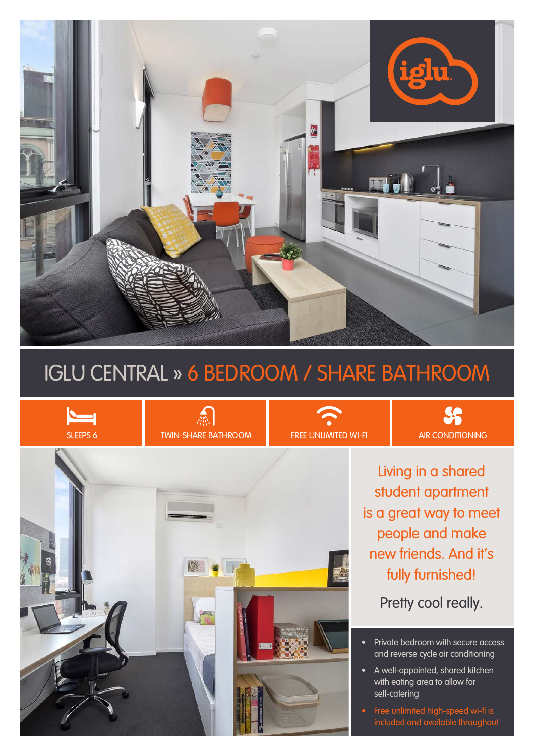

# IGLU CENTRAL » 6 BEDROOM / SHARE BATHROOM



Living in a shared student apartment is a great way to meet people and make new friends. And it's fully furnished!

 $$S$ 

Pretty cool really.

- Private bedroom with secure access and reverse cycle air conditioning
- A well-appointed, shared kitchen with eating area to allow for self-catering
- Free unlimited high-speed wi-fi is included and available throughout